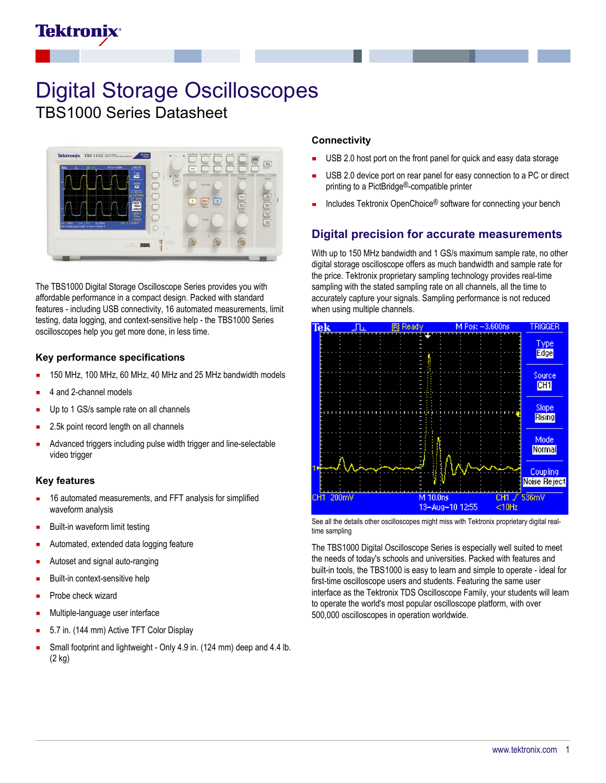# Tektronix

# Digital Storage Oscilloscopes TBS1000 Series Datasheet



The TBS1000 Digital Storage Oscilloscope Series provides you with affordable performance in a compact design. Packed with standard features - including USB connectivity, 16 automated measurements, limit testing, data logging, and context-sensitive help - the TBS1000 Series oscilloscopes help you get more done, in less time.

#### **Key performance specifications**

- 150 MHz, 100 MHz, 60 MHz, 40 MHz and 25 MHz bandwidth models
- 4 and 2-channel models
- Up to 1 GS/s sample rate on all channels
- 2.5k point record length on all channels
- Advanced triggers including pulse width trigger and line-selectable video trigger

#### **Key features**

- 16 automated measurements, and FFT analysis for simplified waveform analysis
- Built-in waveform limit testing
- Automated, extended data logging feature
- Autoset and signal auto-ranging
- Built-in context-sensitive help
- Probe check wizard
- Multiple-language user interface
- 5.7 in. (144 mm) Active TFT Color Display
- Small footprint and lightweight Only 4.9 in. (124 mm) deep and 4.4 lb. (2 kg)

#### **Connectivity**

- USB 2.0 host port on the front panel for quick and easy data storage
- USB 2.0 device port on rear panel for easy connection to a PC or direct printing to a PictBridge®-compatible printer
- Includes Tektronix OpenChoice® software for connecting your bench

### **Digital precision for accurate measurements**

With up to 150 MHz bandwidth and 1 GS/s maximum sample rate, no other digital storage oscilloscope offers as much bandwidth and sample rate for the price. Tektronix proprietary sampling technology provides real-time sampling with the stated sampling rate on all channels, all the time to accurately capture your signals. Sampling performance is not reduced when using multiple channels.



See all the details other oscilloscopes might miss with Tektronix proprietary digital realtime sampling

The TBS1000 Digital Oscilloscope Series is especially well suited to meet the needs of today's schools and universities. Packed with features and built-in tools, the TBS1000 is easy to learn and simple to operate - ideal for first-time oscilloscope users and students. Featuring the same user interface as the Tektronix TDS Oscilloscope Family, your students will learn to operate the world's most popular oscilloscope platform, with over 500,000 oscilloscopes in operation worldwide.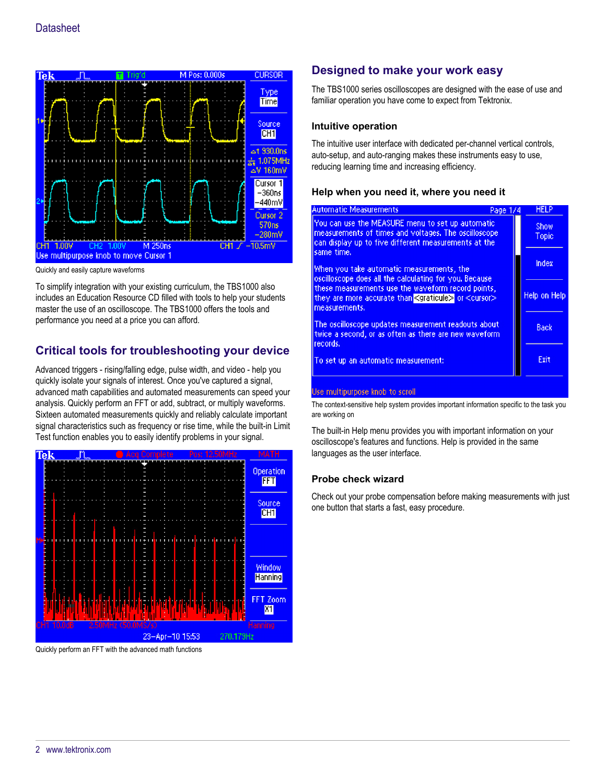

Quickly and easily capture waveforms

To simplify integration with your existing curriculum, the TBS1000 also includes an Education Resource CD filled with tools to help your students master the use of an oscilloscope. The TBS1000 offers the tools and performance you need at a price you can afford.

## **Critical tools for troubleshooting your device**

Advanced triggers - rising/falling edge, pulse width, and video - help you quickly isolate your signals of interest. Once you've captured a signal, advanced math capabilities and automated measurements can speed your analysis. Quickly perform an FFT or add, subtract, or multiply waveforms. Sixteen automated measurements quickly and reliably calculate important signal characteristics such as frequency or rise time, while the built-in Limit Test function enables you to easily identify problems in your signal.



Quickly perform an FFT with the advanced math functions

## **Designed to make your work easy**

The TBS1000 series oscilloscopes are designed with the ease of use and familiar operation you have come to expect from Tektronix.

#### **Intuitive operation**

The intuitive user interface with dedicated per-channel vertical controls, auto-setup, and auto-ranging makes these instruments easy to use, reducing learning time and increasing efficiency.

#### **Help when you need it, where you need it**

| <b>Automatic Measurements</b>                                                                                                                                                  | Page 1/4 | <b>HELP</b>   |
|--------------------------------------------------------------------------------------------------------------------------------------------------------------------------------|----------|---------------|
| You can use the MEASURE menu to set up automatic<br>measurements of times and voltages. The oscilloscope<br>can display up to five different measurements at the<br>same time. |          | Show<br>Topic |
| When you take automatic measurements, the<br>oscilloscope does all the calculating for you, Because                                                                            |          | Index         |
| these measurements use the waveform record points,<br>they are more accurate than <graticule> or <cursor><br/>measurements.</cursor></graticule>                               |          | Help on Help  |
| The oscilloscope updates measurement readouts about<br>twice a second, or as often as there are new waveform<br>frecords.                                                      |          | Back          |
| To set up an automatic measurement:                                                                                                                                            |          | Exit          |
| Use multipurpose knob to scroll                                                                                                                                                |          |               |

The context-sensitive help system provides important information specific to the task you are working on

The built-in Help menu provides you with important information on your oscilloscope's features and functions. Help is provided in the same languages as the user interface.

#### **Probe check wizard**

Check out your probe compensation before making measurements with just one button that starts a fast, easy procedure.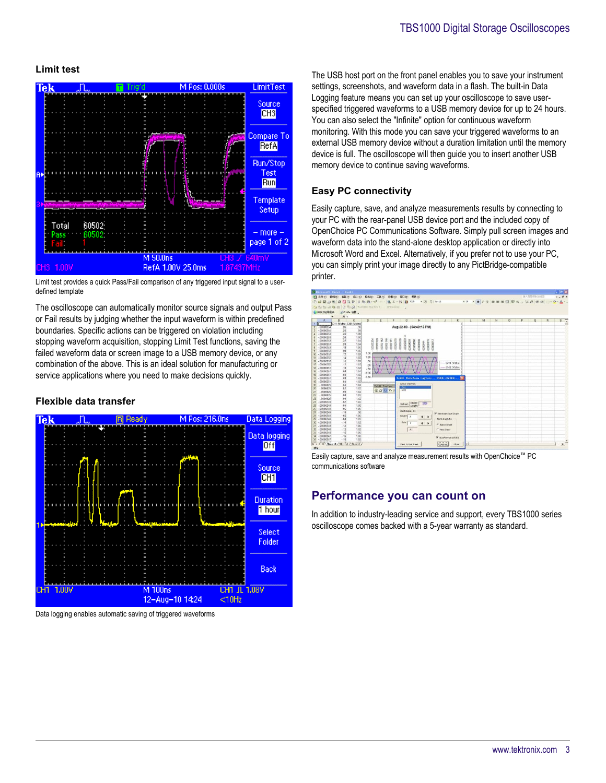#### **Limit test**



Limit test provides a quick Pass/Fail comparison of any triggered input signal to a userdefined template

The oscilloscope can automatically monitor source signals and output Pass or Fail results by judging whether the input waveform is within predefined boundaries. Specific actions can be triggered on violation including stopping waveform acquisition, stopping Limit Test functions, saving the failed waveform data or screen image to a USB memory device, or any combination of the above. This is an ideal solution for manufacturing or service applications where you need to make decisions quickly.

#### **Flexible data transfer**



Data logging enables automatic saving of triggered waveforms

The USB host port on the front panel enables you to save your instrument settings, screenshots, and waveform data in a flash. The built-in Data Logging feature means you can set up your oscilloscope to save userspecified triggered waveforms to a USB memory device for up to 24 hours. You can also select the "Infinite" option for continuous waveform monitoring. With this mode you can save your triggered waveforms to an external USB memory device without a duration limitation until the memory device is full. The oscilloscope will then guide you to insert another USB memory device to continue saving waveforms.

#### **Easy PC connectivity**

Easily capture, save, and analyze measurements results by connecting to your PC with the rear-panel USB device port and the included copy of OpenChoice PC Communications Software. Simply pull screen images and waveform data into the stand-alone desktop application or directly into Microsoft Word and Excel. Alternatively, if you prefer not to use your PC, you can simply print your image directly to any PictBridge-compatible printer.



Easily capture, save and analyze measurement results with OpenChoice™ PC communications software

## **Performance you can count on**

In addition to industry-leading service and support, every TBS1000 series oscilloscope comes backed with a 5-year warranty as standard.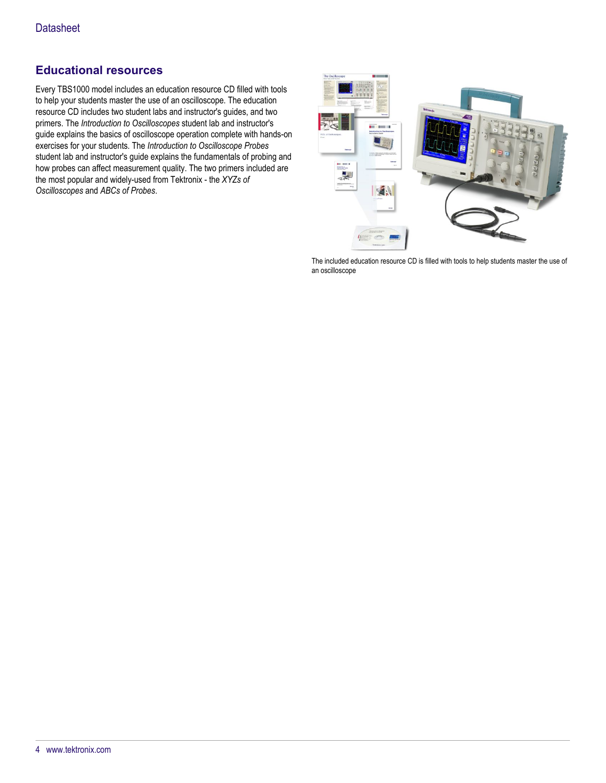## **Educational resources**

Every TBS1000 model includes an education resource CD filled with tools to help your students master the use of an oscilloscope. The education resource CD includes two student labs and instructor's guides, and two primers. The *Introduction to Oscilloscopes* student lab and instructor's guide explains the basics of oscilloscope operation complete with hands-on exercises for your students. The *Introduction to Oscilloscope Probes* student lab and instructor's guide explains the fundamentals of probing and how probes can affect measurement quality. The two primers included are the most popular and widely-used from Tektronix - the *XYZs of Oscilloscopes* and *ABCs of Probes*.



The included education resource CD is filled with tools to help students master the use of an oscilloscope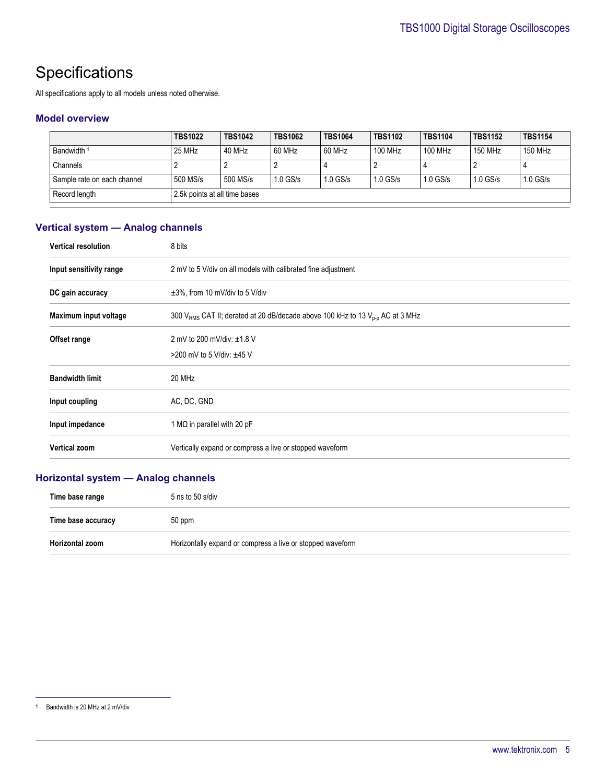# **Specifications**

All specifications apply to all models unless noted otherwise.

#### **Model overview**

|                             | <b>TBS1022</b>                | <b>TBS1042</b> | <b>TBS1062</b> | <b>TBS1064</b> | <b>TBS1102</b> | <b>TBS1104</b> | <b>TBS1152</b> | <b>TBS1154</b> |
|-----------------------------|-------------------------------|----------------|----------------|----------------|----------------|----------------|----------------|----------------|
| Bandwidth <sup>1</sup>      | 25 MHz                        | 40 MHz         | 60 MHz         | 60 MHz         | 100 MHz        | 100 MHz        | 150 MHz        | 150 MHz        |
| Channels                    |                               |                |                |                |                |                |                |                |
| Sample rate on each channel | 500 MS/s                      | 500 MS/s       | $1.0$ GS/s     | $1.0$ GS/s     | $1.0$ GS/s     | $1.0$ GS/s     | $1.0$ GS/s     | $1.0$ GS/s     |
| Record length               | 2.5k points at all time bases |                |                |                |                |                |                |                |

## **Vertical system — Analog channels**

| <b>Vertical resolution</b> | 8 bits                                                                                  |
|----------------------------|-----------------------------------------------------------------------------------------|
| Input sensitivity range    | 2 mV to 5 V/div on all models with calibrated fine adjustment                           |
| DC gain accuracy           | $\pm 3\%$ , from 10 mV/div to 5 V/div                                                   |
| Maximum input voltage      | 300 $V_{RMS}$ CAT II; derated at 20 dB/decade above 100 kHz to 13 $V_{D-D}$ AC at 3 MHz |
| Offset range               | 2 mV to 200 mV/div: $\pm 1.8$ V                                                         |
|                            | >200 mV to 5 V/div: ±45 V                                                               |
| <b>Bandwidth limit</b>     | 20 MHz                                                                                  |
| Input coupling             | AC, DC, GND                                                                             |
| Input impedance            | 1 M $\Omega$ in parallel with 20 pF                                                     |
| <b>Vertical zoom</b>       | Vertically expand or compress a live or stopped waveform                                |

## **Horizontal system — Analog channels**

| Time base range    | $5$ ns to $50$ s/div                                       |
|--------------------|------------------------------------------------------------|
| Time base accuracy | 50 ppm                                                     |
| Horizontal zoom    | Horizontally expand or compress a live or stopped waveform |

<sup>1</sup> Bandwidth is 20 MHz at 2 mV/div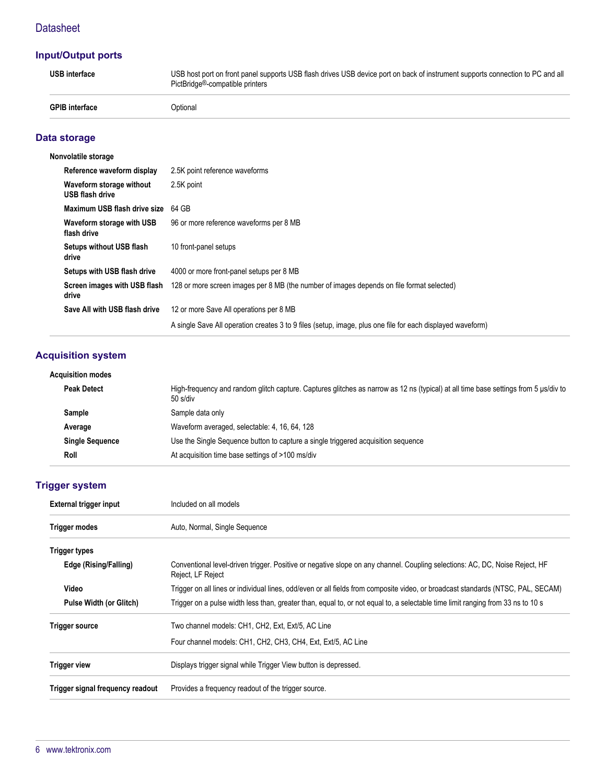## **Input/Output ports**

| <b>USB</b> interface  | USB host port on front panel supports USB flash drives USB device port on back of instrument supports connection to PC and all<br>PictBridge <sup>®</sup> -compatible printers |
|-----------------------|--------------------------------------------------------------------------------------------------------------------------------------------------------------------------------|
| <b>GPIB</b> interface | Optional                                                                                                                                                                       |

## **Data storage**

| Nonvolatile storage                         |                                                                                                            |
|---------------------------------------------|------------------------------------------------------------------------------------------------------------|
| Reference waveform display                  | 2.5K point reference waveforms                                                                             |
| Waveform storage without<br>USB flash drive | 2.5K point                                                                                                 |
| Maximum USB flash drive size                | 64 GB                                                                                                      |
| Waveform storage with USB<br>flash drive    | 96 or more reference waveforms per 8 MB                                                                    |
| Setups without USB flash<br>drive           | 10 front-panel setups                                                                                      |
| Setups with USB flash drive                 | 4000 or more front-panel setups per 8 MB                                                                   |
| Screen images with USB flash<br>drive       | 128 or more screen images per 8 MB (the number of images depends on file format selected)                  |
| Save All with USB flash drive               | 12 or more Save All operations per 8 MB                                                                    |
|                                             | A single Save All operation creates 3 to 9 files (setup, image, plus one file for each displayed waveform) |

# **Acquisition system**

| Acquisition modes      |                                                                                                                                                 |
|------------------------|-------------------------------------------------------------------------------------------------------------------------------------------------|
| <b>Peak Detect</b>     | High-frequency and random glitch capture. Captures glitches as narrow as 12 ns (typical) at all time base settings from 5 us/div to<br>50 s/div |
| Sample                 | Sample data only                                                                                                                                |
| Average                | Waveform averaged, selectable: 4, 16, 64, 128                                                                                                   |
| <b>Single Sequence</b> | Use the Single Sequence button to capture a single triggered acquisition sequence                                                               |
| Roll                   | At acquisition time base settings of >100 ms/div                                                                                                |

## **Trigger system**

| External trigger input<br>Included on all models |                                                                                                                                                  |  |
|--------------------------------------------------|--------------------------------------------------------------------------------------------------------------------------------------------------|--|
| <b>Trigger modes</b>                             | Auto, Normal, Single Sequence                                                                                                                    |  |
| <b>Trigger types</b>                             |                                                                                                                                                  |  |
| Edge (Rising/Falling)                            | Conventional level-driven trigger. Positive or negative slope on any channel. Coupling selections: AC, DC, Noise Reject, HF<br>Reject, LF Reject |  |
| Video                                            | Trigger on all lines or individual lines, odd/even or all fields from composite video, or broadcast standards (NTSC, PAL, SECAM)                 |  |
| <b>Pulse Width (or Glitch)</b>                   | Trigger on a pulse width less than, greater than, equal to, or not equal to, a selectable time limit ranging from 33 ns to 10 s                  |  |
| <b>Trigger source</b>                            | Two channel models: CH1, CH2, Ext, Ext/5, AC Line                                                                                                |  |
|                                                  | Four channel models: CH1, CH2, CH3, CH4, Ext, Ext/5, AC Line                                                                                     |  |
| <b>Trigger view</b>                              | Displays trigger signal while Trigger View button is depressed.                                                                                  |  |
| Trigger signal frequency readout                 | Provides a frequency readout of the trigger source.                                                                                              |  |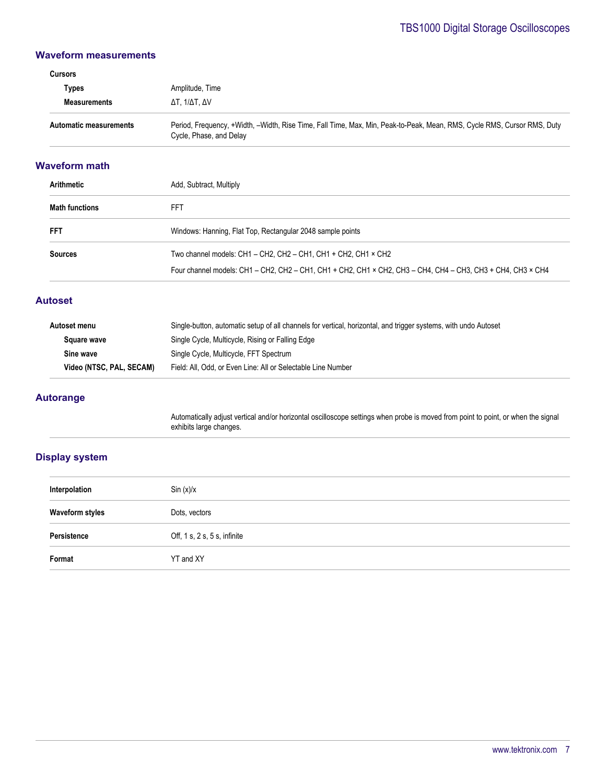#### **Waveform measurements**

# **Cursors Types** Amplitude, Time **Measurements** ΔT, 1/ΔT, ΔV Automatic measurements **Period, Frequency, +Width, -Width, Rise Time, Fall Time, Max, Min, Peak-to-Peak, Mean, RMS, Cycle RMS, Cursor RMS, Duty** Cycle, Phase, and Delay

#### **Waveform math**

| Arithmetic            | Add, Subtract, Multiply                                                                                     |  |
|-----------------------|-------------------------------------------------------------------------------------------------------------|--|
| <b>Math functions</b> | FFT                                                                                                         |  |
| <b>FFT</b>            | Windows: Hanning, Flat Top, Rectangular 2048 sample points                                                  |  |
| <b>Sources</b>        | Two channel models: CH1 - CH2, CH2 - CH1, CH1 + CH2, CH1 × CH2                                              |  |
|                       | Four channel models: CH1 - CH2, CH2 - CH1, CH1 + CH2, CH1 × CH2, CH3 - CH4, CH4 - CH3, CH3 + CH4, CH3 × CH4 |  |

#### **Autoset**

| Single-button, automatic setup of all channels for vertical, horizontal, and trigger systems, with undo Autoset |
|-----------------------------------------------------------------------------------------------------------------|
| Single Cycle, Multicycle, Rising or Falling Edge                                                                |
| Single Cycle, Multicycle, FFT Spectrum                                                                          |
| Video (NTSC, PAL, SECAM)<br>Field: All, Odd, or Even Line: All or Selectable Line Number                        |
|                                                                                                                 |

#### **Autorange**

Automatically adjust vertical and/or horizontal oscilloscope settings when probe is moved from point to point, or when the signal exhibits large changes.

#### **Display system**

| Interpolation   | Sin (x)/x                             |
|-----------------|---------------------------------------|
| Waveform styles | Dots, vectors                         |
| Persistence     | Off, $1 s$ , $2 s$ , $5 s$ , infinite |
| Format          | YT and XY                             |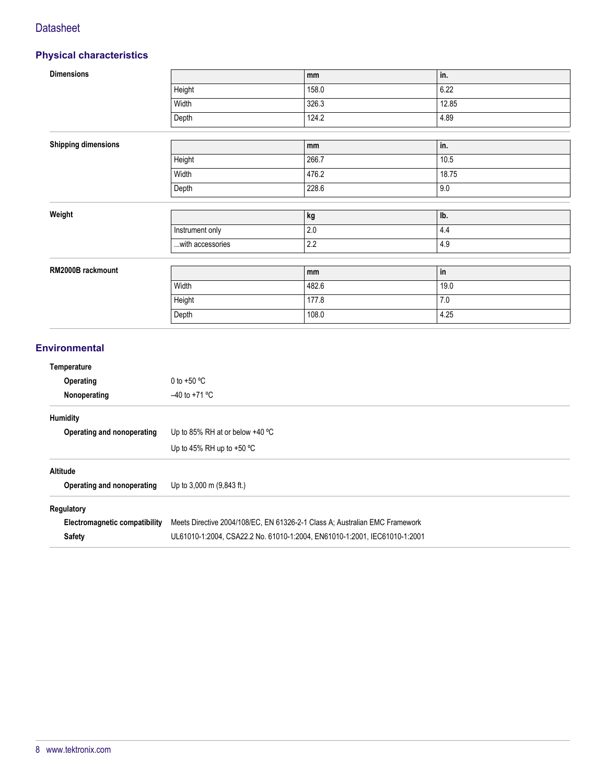## **Physical characteristics**

| <b>Dimensions</b>          |                  | mm      | in.   |
|----------------------------|------------------|---------|-------|
|                            | Height           | 158.0   | 6.22  |
|                            | Width            | 326.3   | 12.85 |
|                            | Depth            | 124.2   | 4.89  |
|                            |                  |         |       |
| <b>Shipping dimensions</b> |                  | mm      | in.   |
|                            | Height           | 266.7   | 10.5  |
|                            | Width            | 476.2   | 18.75 |
|                            | Depth            | 228.6   | 9.0   |
|                            |                  |         |       |
| Weight                     |                  | kg      | Ib.   |
|                            | Instrument only  | $2.0\,$ | 4.4   |
|                            | with accessories | 2.2     | 4.9   |
|                            |                  |         |       |
| RM2000B rackmount          |                  | mm      | in    |
|                            | Width            | 482.6   | 19.0  |
|                            | Height           | 177.8   | 7.0   |
|                            | Depth            | 108.0   | 4.25  |
|                            |                  |         |       |

### **Environmental**

| Temperature                   |                                                                             |  |
|-------------------------------|-----------------------------------------------------------------------------|--|
| <b>Operating</b>              | 0 to +50 $^{\circ}$ C                                                       |  |
| Nonoperating                  | $-40$ to +71 °C                                                             |  |
| Humidity                      |                                                                             |  |
| Operating and nonoperating    | Up to 85% RH at or below $+40$ °C                                           |  |
|                               | Up to 45% RH up to $+50$ °C                                                 |  |
| <b>Altitude</b>               |                                                                             |  |
| Operating and nonoperating    | Up to $3,000$ m $(9,843$ ft.)                                               |  |
| Regulatory                    |                                                                             |  |
| Electromagnetic compatibility | Meets Directive 2004/108/EC, EN 61326-2-1 Class A; Australian EMC Framework |  |
| <b>Safety</b>                 | UL61010-1:2004, CSA22.2 No. 61010-1:2004, EN61010-1:2001, IEC61010-1:2001   |  |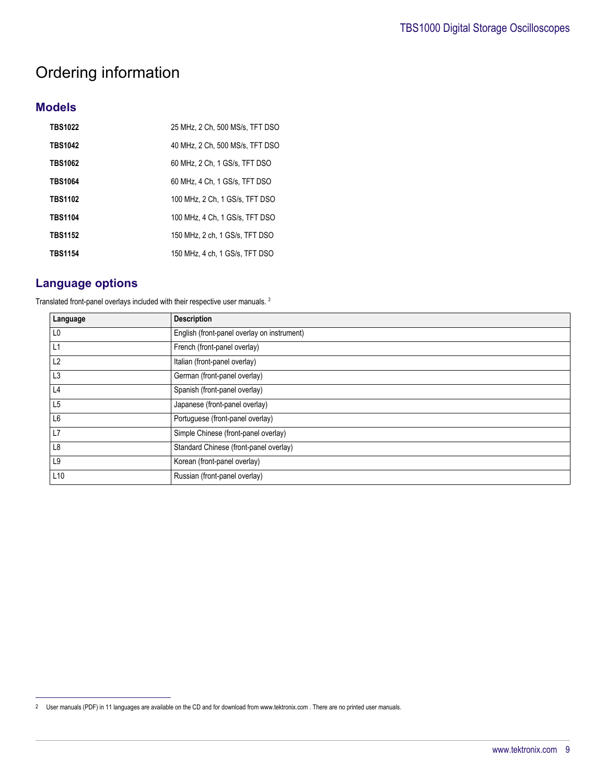# Ordering information

## **Models**

| <b>TBS1022</b> | 25 MHz, 2 Ch, 500 MS/s, TFT DSO |
|----------------|---------------------------------|
| <b>TBS1042</b> | 40 MHz, 2 Ch, 500 MS/s, TFT DSO |
| <b>TBS1062</b> | 60 MHz, 2 Ch, 1 GS/s, TFT DSO   |
| <b>TBS1064</b> | 60 MHz. 4 Ch. 1 GS/s. TFT DSO   |
| <b>TBS1102</b> | 100 MHz. 2 Ch. 1 GS/s. TFT DSO  |
| <b>TBS1104</b> | 100 MHz, 4 Ch, 1 GS/s, TFT DSO  |
| <b>TBS1152</b> | 150 MHz. 2 ch. 1 GS/s. TFT DSO  |
| <b>TBS1154</b> | 150 MHz, 4 ch, 1 GS/s, TFT DSO  |

## **Language options**

Translated front-panel overlays included with their respective user manuals. <sup>2</sup>

| Language        | <b>Description</b>                          |
|-----------------|---------------------------------------------|
| L0              | English (front-panel overlay on instrument) |
| L1              | French (front-panel overlay)                |
| L2              | Italian (front-panel overlay)               |
| L3              | German (front-panel overlay)                |
| L4              | Spanish (front-panel overlay)               |
| L5              | Japanese (front-panel overlay)              |
| L6              | Portuguese (front-panel overlay)            |
| L7              | Simple Chinese (front-panel overlay)        |
| L <sub>8</sub>  | Standard Chinese (front-panel overlay)      |
| L9              | Korean (front-panel overlay)                |
| L <sub>10</sub> | Russian (front-panel overlay)               |

<sup>2</sup> User manuals (PDF) in 11 languages are available on the CD and for download from www.tektronix.com . There are no printed user manuals.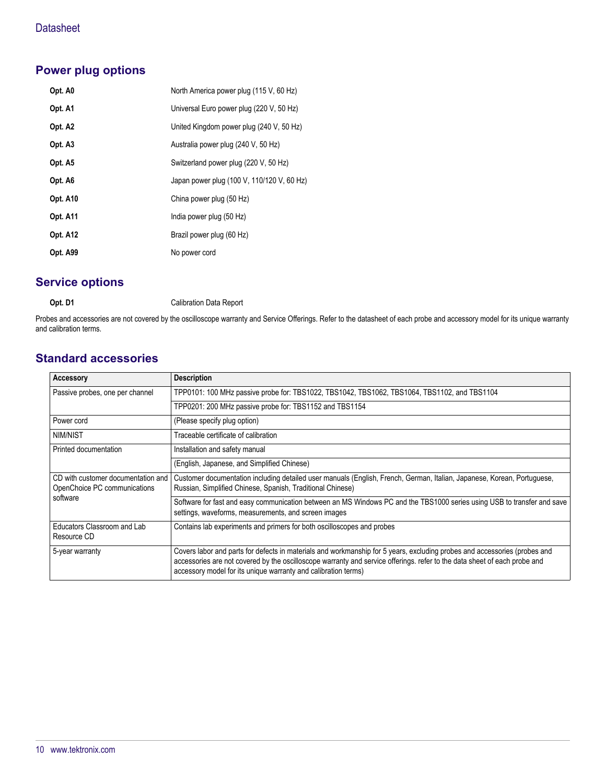# **Power plug options**

| Opt. A0         | North America power plug (115 V, 60 Hz)    |
|-----------------|--------------------------------------------|
| Opt. A1         | Universal Euro power plug (220 V, 50 Hz)   |
| Opt. A2         | United Kingdom power plug (240 V, 50 Hz)   |
| Opt. A3         | Australia power plug (240 V, 50 Hz)        |
| Opt. A5         | Switzerland power plug (220 V, 50 Hz)      |
| Opt. A6         | Japan power plug (100 V, 110/120 V, 60 Hz) |
| Opt. A10        | China power plug (50 Hz)                   |
| <b>Opt. A11</b> | India power plug (50 Hz)                   |
| <b>Opt. A12</b> | Brazil power plug (60 Hz)                  |
| Opt. A99        | No power cord                              |
|                 |                                            |

# **Service options**

**Opt. D1** Calibration Data Report

Probes and accessories are not covered by the oscilloscope warranty and Service Offerings. Refer to the datasheet of each probe and accessory model for its unique warranty and calibration terms.

## **Standard accessories**

| <b>Accessory</b>                                                               | <b>Description</b>                                                                                                                                                                                                                                                                                                       |
|--------------------------------------------------------------------------------|--------------------------------------------------------------------------------------------------------------------------------------------------------------------------------------------------------------------------------------------------------------------------------------------------------------------------|
| Passive probes, one per channel                                                | TPP0101: 100 MHz passive probe for: TBS1022, TBS1042, TBS1062, TBS1064, TBS1102, and TBS1104                                                                                                                                                                                                                             |
|                                                                                | TPP0201: 200 MHz passive probe for: TBS1152 and TBS1154                                                                                                                                                                                                                                                                  |
| Power cord                                                                     | (Please specify plug option)                                                                                                                                                                                                                                                                                             |
| NIM/NIST                                                                       | Traceable certificate of calibration                                                                                                                                                                                                                                                                                     |
| Printed documentation                                                          | Installation and safety manual                                                                                                                                                                                                                                                                                           |
|                                                                                | (English, Japanese, and Simplified Chinese)                                                                                                                                                                                                                                                                              |
| CD with customer documentation and<br>OpenChoice PC communications<br>software | Customer documentation including detailed user manuals (English, French, German, Italian, Japanese, Korean, Portuguese,<br>Russian, Simplified Chinese, Spanish, Traditional Chinese)                                                                                                                                    |
|                                                                                | Software for fast and easy communication between an MS Windows PC and the TBS1000 series using USB to transfer and save<br>settings, waveforms, measurements, and screen images                                                                                                                                          |
| Educators Classroom and Lab<br>Resource CD                                     | Contains lab experiments and primers for both oscilloscopes and probes                                                                                                                                                                                                                                                   |
| 5-year warranty                                                                | Covers labor and parts for defects in materials and workmanship for 5 years, excluding probes and accessories (probes and<br>accessories are not covered by the oscilloscope warranty and service offerings. refer to the data sheet of each probe and<br>accessory model for its unique warranty and calibration terms) |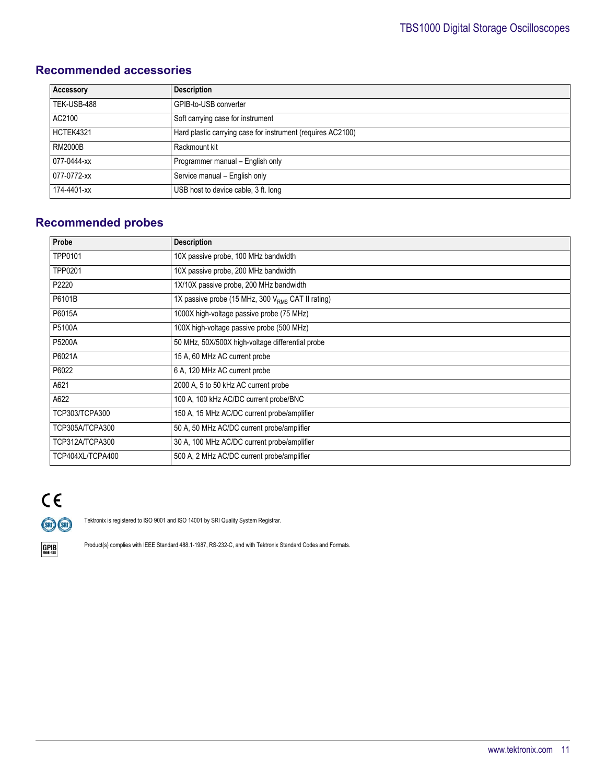# **Recommended accessories**

| Accessory      | <b>Description</b>                                          |
|----------------|-------------------------------------------------------------|
| TEK-USB-488    | GPIB-to-USB converter                                       |
| AC2100         | Soft carrying case for instrument                           |
| HCTEK4321      | Hard plastic carrying case for instrument (requires AC2100) |
| <b>RM2000B</b> | Rackmount kit                                               |
| 077-0444-xx    | Programmer manual - English only                            |
| 077-0772-xx    | Service manual - English only                               |
| 174-4401-xx    | USB host to device cable, 3 ft. long                        |

# **Recommended probes**

| Probe            | <b>Description</b>                                     |
|------------------|--------------------------------------------------------|
| TPP0101          | 10X passive probe, 100 MHz bandwidth                   |
| TPP0201          | 10X passive probe, 200 MHz bandwidth                   |
| P2220            | 1X/10X passive probe, 200 MHz bandwidth                |
| P6101B           | 1X passive probe (15 MHz, 300 $V_{RMS}$ CAT II rating) |
| P6015A           | 1000X high-voltage passive probe (75 MHz)              |
| P5100A           | 100X high-voltage passive probe (500 MHz)              |
| P5200A           | 50 MHz, 50X/500X high-voltage differential probe       |
| P6021A           | 15 A, 60 MHz AC current probe                          |
| P6022            | 6 A, 120 MHz AC current probe                          |
| A621             | 2000 A, 5 to 50 kHz AC current probe                   |
| A622             | 100 A, 100 kHz AC/DC current probe/BNC                 |
| TCP303/TCPA300   | 150 A, 15 MHz AC/DC current probe/amplifier            |
| TCP305A/TCPA300  | 50 A, 50 MHz AC/DC current probe/amplifier             |
| TCP312A/TCPA300  | 30 A, 100 MHz AC/DC current probe/amplifier            |
| TCP404XL/TCPA400 | 500 A, 2 MHz AC/DC current probe/amplifier             |

# $C \in$ (SRI) (SRI)

Tektronix is registered to ISO 9001 and ISO 14001 by SRI Quality System Registrar.



Product(s) complies with IEEE Standard 488.1-1987, RS-232-C, and with Tektronix Standard Codes and Formats.